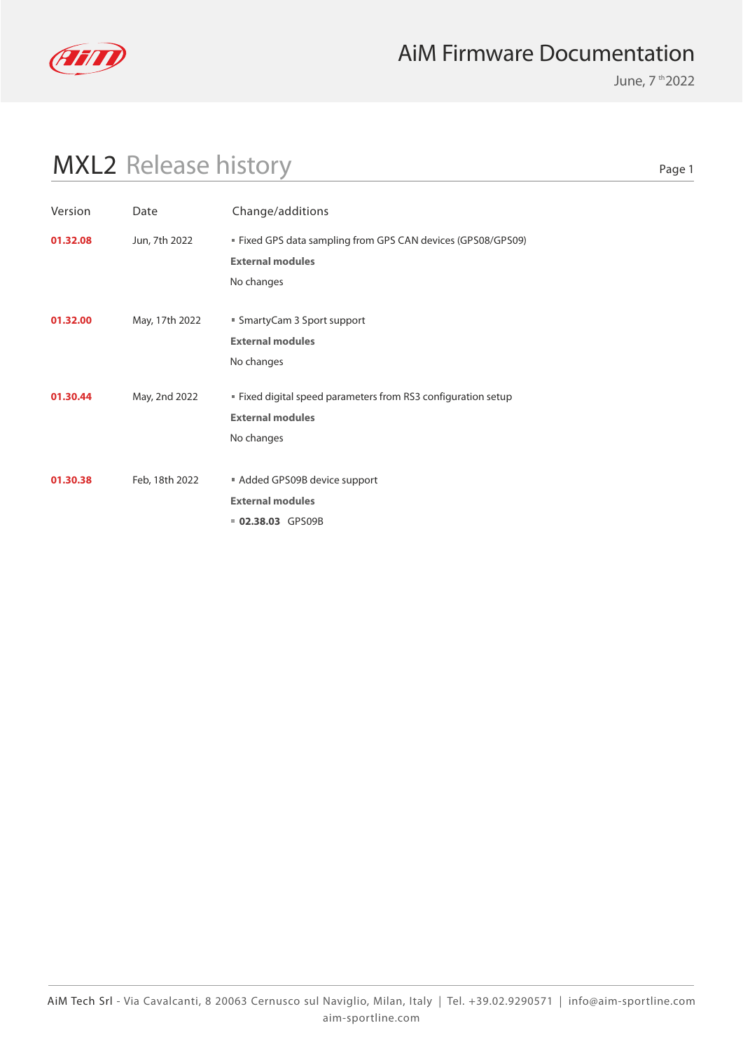

June, 7 th 2022

# MXL2 Release history

| Version  | Date           | Change/additions                                              |
|----------|----------------|---------------------------------------------------------------|
| 01.32.08 | Jun, 7th 2022  | ■ Fixed GPS data sampling from GPS CAN devices (GPS08/GPS09)  |
|          |                | <b>External modules</b>                                       |
|          |                | No changes                                                    |
|          |                |                                                               |
| 01.32.00 | May, 17th 2022 | ■ SmartyCam 3 Sport support                                   |
|          |                | <b>External modules</b>                                       |
|          |                | No changes                                                    |
| 01.30.44 | May, 2nd 2022  | " Fixed digital speed parameters from RS3 configuration setup |
|          |                | <b>External modules</b>                                       |
|          |                | No changes                                                    |
|          |                |                                                               |
| 01.30.38 | Feb, 18th 2022 | Added GPS09B device support                                   |
|          |                | <b>External modules</b>                                       |
|          |                | 02.38.03 GPS09B                                               |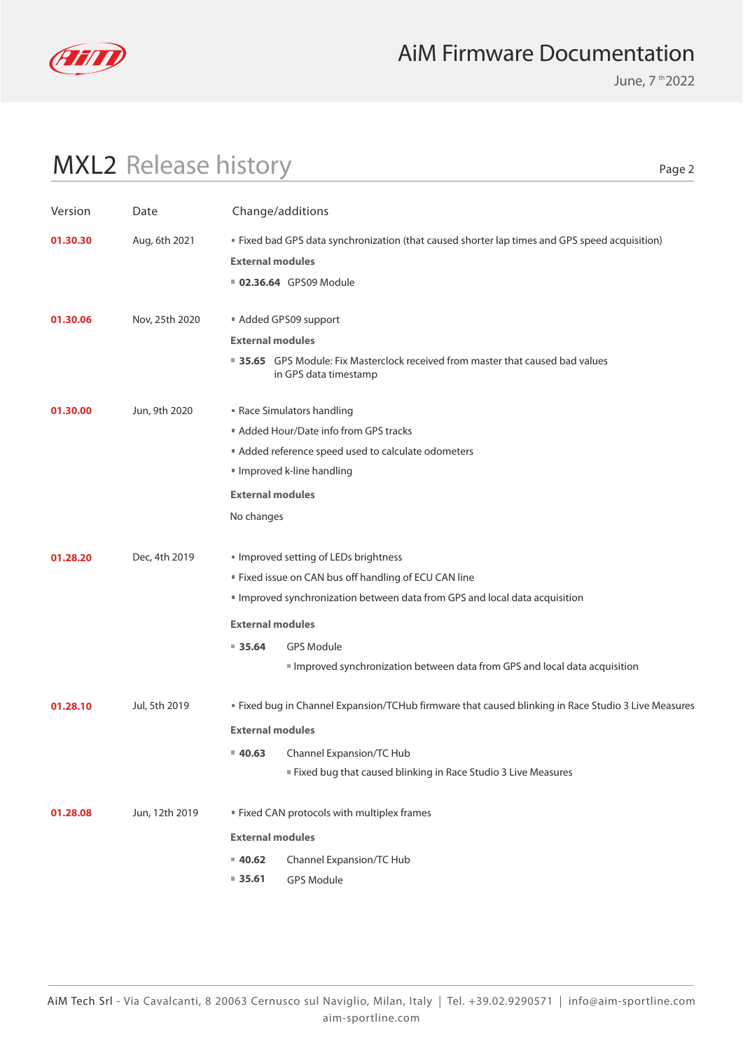

June, 7 th 2022

# MXL2 Release history

| Version  | Date           | Change/additions        |                                                                                                          |
|----------|----------------|-------------------------|----------------------------------------------------------------------------------------------------------|
| 01.30.30 | Aug, 6th 2021  |                         | <b>Fixed bad GPS data synchronization (that caused shorter lap times and GPS speed acquisition)</b>      |
|          |                | <b>External modules</b> |                                                                                                          |
|          |                |                         | <b>02.36.64</b> GPS09 Module                                                                             |
| 01.30.06 | Nov, 25th 2020 |                         | Added GPS09 support                                                                                      |
|          |                | <b>External modules</b> |                                                                                                          |
|          |                |                         | ■ 35.65 GPS Module: Fix Masterclock received from master that caused bad values<br>in GPS data timestamp |
| 01.30.00 | Jun, 9th 2020  |                         | Race Simulators handling                                                                                 |
|          |                |                         | Added Hour/Date info from GPS tracks                                                                     |
|          |                |                         | Added reference speed used to calculate odometers                                                        |
|          |                |                         | Improved k-line handling                                                                                 |
|          |                | <b>External modules</b> |                                                                                                          |
|          |                | No changes              |                                                                                                          |
| 01.28.20 | Dec, 4th 2019  |                         | Improved setting of LEDs brightness                                                                      |
|          |                |                         | " Fixed issue on CAN bus off handling of ECU CAN line                                                    |
|          |                |                         | Improved synchronization between data from GPS and local data acquisition                                |
|          |                | <b>External modules</b> |                                                                                                          |
|          |                | 935.64                  | <b>GPS Module</b>                                                                                        |
|          |                |                         | Improved synchronization between data from GPS and local data acquisition                                |
| 01.28.10 | Jul, 5th 2019  |                         | " Fixed bug in Channel Expansion/TCHub firmware that caused blinking in Race Studio 3 Live Measures      |
|          |                | <b>External modules</b> |                                                                                                          |
|          |                | 40.63                   | Channel Expansion/TC Hub                                                                                 |
|          |                |                         | Fixed bug that caused blinking in Race Studio 3 Live Measures                                            |
| 01.28.08 | Jun, 12th 2019 |                         | " Fixed CAN protocols with multiplex frames                                                              |
|          |                | <b>External modules</b> |                                                                                                          |
|          |                | 40.62                   | Channel Expansion/TC Hub                                                                                 |
|          |                | $= 35.61$               | <b>GPS Module</b>                                                                                        |
|          |                |                         |                                                                                                          |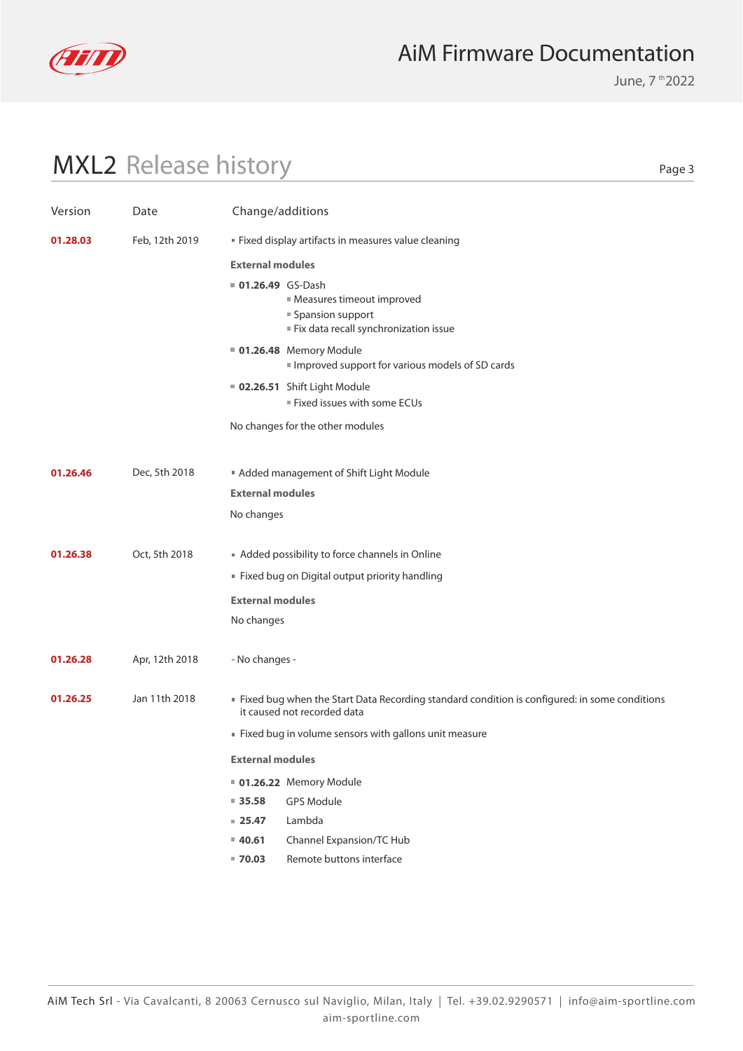

June, 7 th 2022

# MXL2 Release history

| Version  | Date           | Change/additions                                                                                                               |
|----------|----------------|--------------------------------------------------------------------------------------------------------------------------------|
| 01.28.03 | Feb, 12th 2019 | " Fixed display artifacts in measures value cleaning                                                                           |
|          |                | <b>External modules</b>                                                                                                        |
|          |                | 01.26.49 GS-Dash<br>Measures timeout improved<br>■ Spansion support<br>Fix data recall synchronization issue                   |
|          |                | 01.26.48 Memory Module<br>Improved support for various models of SD cards                                                      |
|          |                | 02.26.51 Shift Light Module<br>Fixed issues with some ECUs                                                                     |
|          |                | No changes for the other modules                                                                                               |
|          |                |                                                                                                                                |
| 01.26.46 | Dec, 5th 2018  | Added management of Shift Light Module                                                                                         |
|          |                | <b>External modules</b>                                                                                                        |
|          |                | No changes                                                                                                                     |
| 01.26.38 | Oct, 5th 2018  | Added possibility to force channels in Online                                                                                  |
|          |                | Fixed bug on Digital output priority handling                                                                                  |
|          |                | <b>External modules</b>                                                                                                        |
|          |                | No changes                                                                                                                     |
|          |                |                                                                                                                                |
| 01.26.28 | Apr, 12th 2018 | - No changes -                                                                                                                 |
| 01.26.25 | Jan 11th 2018  | If Fixed bug when the Start Data Recording standard condition is configured: in some conditions<br>it caused not recorded data |
|          |                | Fixed bug in volume sensors with gallons unit measure                                                                          |
|          |                | <b>External modules</b>                                                                                                        |
|          |                | 01.26.22 Memory Module                                                                                                         |
|          |                | <b>GPS Module</b><br>$= 35.58$                                                                                                 |
|          |                | Lambda<br>$= 25.47$                                                                                                            |
|          |                | Channel Expansion/TC Hub<br>$= 40.61$                                                                                          |
|          |                | Remote buttons interface<br>$= 70.03$                                                                                          |
|          |                |                                                                                                                                |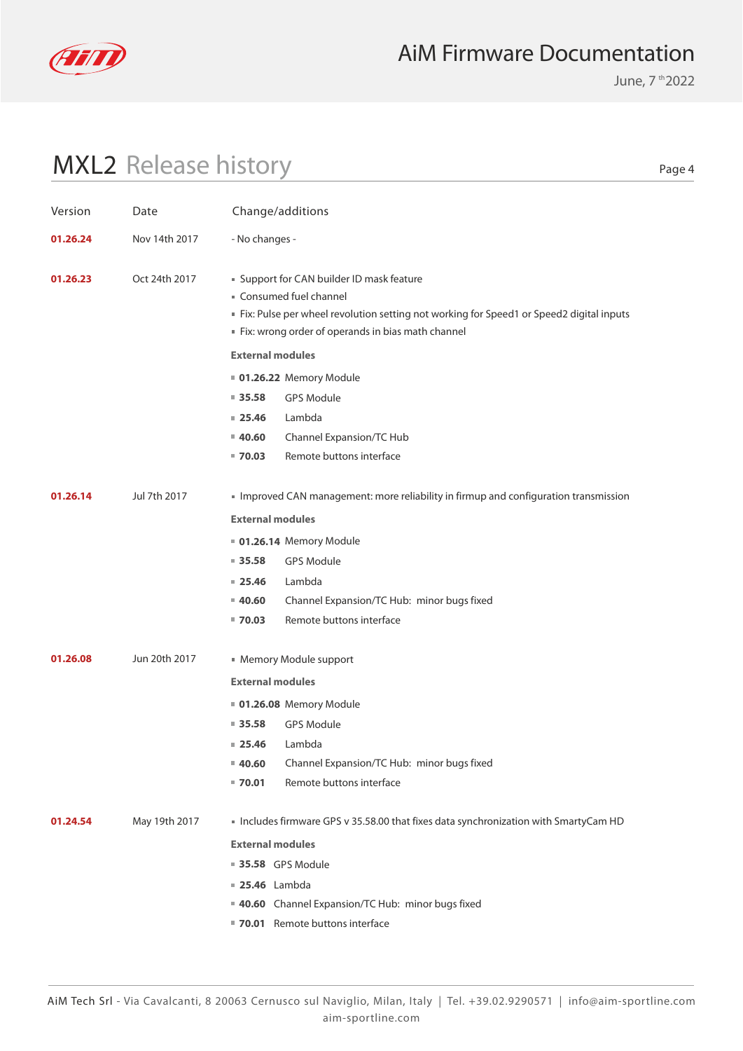

June, 7 th 2022

# MXL2 Release history

| Version  | Date          | Change/additions        |                                                                                                                                                                                                                    |
|----------|---------------|-------------------------|--------------------------------------------------------------------------------------------------------------------------------------------------------------------------------------------------------------------|
| 01.26.24 | Nov 14th 2017 | - No changes -          |                                                                                                                                                                                                                    |
| 01.26.23 | Oct 24th 2017 |                         | " Support for CAN builder ID mask feature<br>Consumed fuel channel<br>Fix: Pulse per wheel revolution setting not working for Speed1 or Speed2 digital inputs<br>Fix: wrong order of operands in bias math channel |
|          |               | <b>External modules</b> |                                                                                                                                                                                                                    |
|          |               |                         | <b>01.26.22 Memory Module</b>                                                                                                                                                                                      |
|          |               | $= 35.58$               | <b>GPS Module</b>                                                                                                                                                                                                  |
|          |               | $= 25.46$               | Lambda                                                                                                                                                                                                             |
|          |               | $= 40.60$               | Channel Expansion/TC Hub                                                                                                                                                                                           |
|          |               | $= 70.03$               | Remote buttons interface                                                                                                                                                                                           |
| 01.26.14 | Jul 7th 2017  |                         | Improved CAN management: more reliability in firmup and configuration transmission                                                                                                                                 |
|          |               | <b>External modules</b> |                                                                                                                                                                                                                    |
|          |               |                         | <b>01.26.14 Memory Module</b>                                                                                                                                                                                      |
|          |               | $\blacksquare$ 35.58    | <b>GPS Module</b>                                                                                                                                                                                                  |
|          |               | $= 25.46$               | Lambda                                                                                                                                                                                                             |
|          |               | $= 40.60$               | Channel Expansion/TC Hub: minor bugs fixed                                                                                                                                                                         |
|          |               | $= 70.03$               | Remote buttons interface                                                                                                                                                                                           |
| 01.26.08 | Jun 20th 2017 |                         | • Memory Module support                                                                                                                                                                                            |
|          |               | <b>External modules</b> |                                                                                                                                                                                                                    |
|          |               |                         | 01.26.08 Memory Module                                                                                                                                                                                             |
|          |               | $\blacksquare$ 35.58    | <b>GPS Module</b>                                                                                                                                                                                                  |
|          |               | 25.46                   | Lambda                                                                                                                                                                                                             |
|          |               | ■ 40.60                 | Channel Expansion/TC Hub: minor bugs fixed                                                                                                                                                                         |
|          |               | $= 70.01$               | Remote buttons interface                                                                                                                                                                                           |
| 01.24.54 | May 19th 2017 |                         | Includes firmware GPS v 35.58.00 that fixes data synchronization with SmartyCam HD                                                                                                                                 |
|          |               | <b>External modules</b> |                                                                                                                                                                                                                    |
|          |               | <b>35.58</b> GPS Module |                                                                                                                                                                                                                    |
|          |               | <b>25.46</b> Lambda     |                                                                                                                                                                                                                    |
|          |               |                         | 40.60 Channel Expansion/TC Hub: minor bugs fixed                                                                                                                                                                   |
|          |               |                         | 70.01 Remote buttons interface                                                                                                                                                                                     |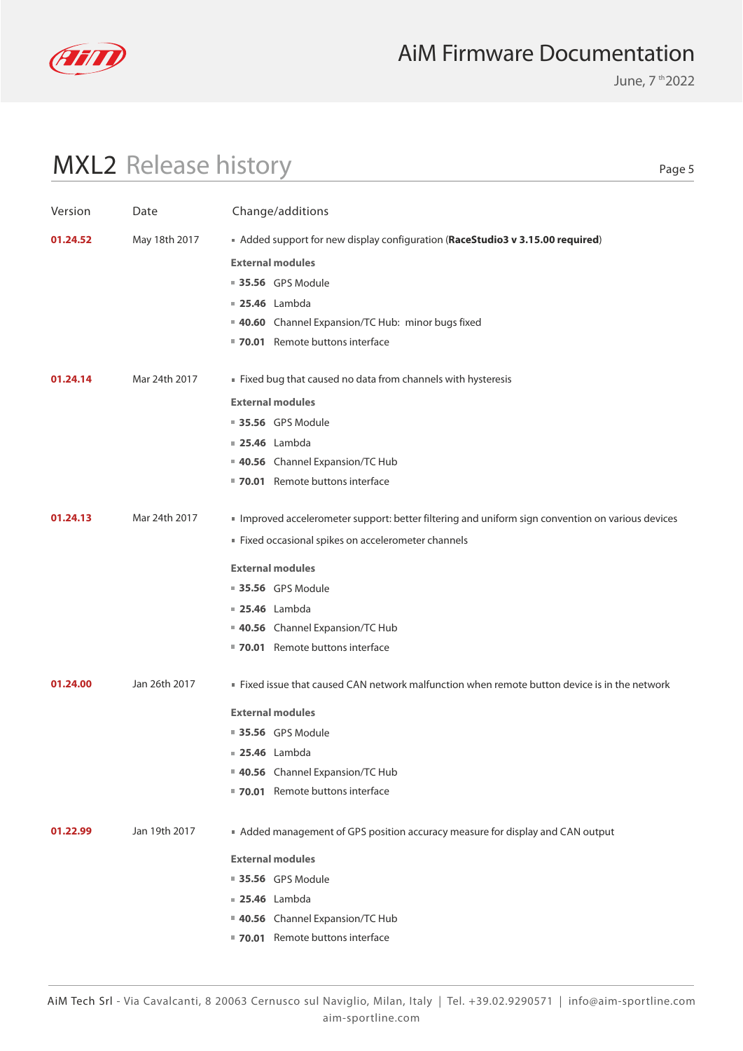

June, 7 th 2022

# MXL2 Release history

| Version  | Date          | Change/additions                                                                                |
|----------|---------------|-------------------------------------------------------------------------------------------------|
| 01.24.52 | May 18th 2017 | Added support for new display configuration (RaceStudio3 v 3.15.00 required)                    |
|          |               | <b>External modules</b>                                                                         |
|          |               | <b>35.56</b> GPS Module                                                                         |
|          |               | <b>25.46</b> Lambda                                                                             |
|          |               | 40.60 Channel Expansion/TC Hub: minor bugs fixed                                                |
|          |               | ■ 70.01 Remote buttons interface                                                                |
| 01.24.14 | Mar 24th 2017 | Fixed bug that caused no data from channels with hysteresis                                     |
|          |               | <b>External modules</b>                                                                         |
|          |               | <b>35.56</b> GPS Module                                                                         |
|          |               | <b>25.46</b> Lambda                                                                             |
|          |               | 40.56 Channel Expansion/TC Hub                                                                  |
|          |               | ■ 70.01 Remote buttons interface                                                                |
| 01.24.13 | Mar 24th 2017 | Improved accelerometer support: better filtering and uniform sign convention on various devices |
|          |               | Fixed occasional spikes on accelerometer channels                                               |
|          |               | <b>External modules</b>                                                                         |
|          |               | <b>35.56</b> GPS Module                                                                         |
|          |               | <b>25.46</b> Lambda                                                                             |
|          |               | 40.56 Channel Expansion/TC Hub                                                                  |
|          |               | 70.01 Remote buttons interface                                                                  |
| 01.24.00 | Jan 26th 2017 | ■ Fixed issue that caused CAN network malfunction when remote button device is in the network   |
|          |               | <b>External modules</b>                                                                         |
|          |               | <b>35.56</b> GPS Module                                                                         |
|          |               | <b>25.46</b> Lambda                                                                             |
|          |               | 40.56 Channel Expansion/TC Hub                                                                  |
|          |               | ■ 70.01 Remote buttons interface                                                                |
| 01.22.99 | Jan 19th 2017 | Added management of GPS position accuracy measure for display and CAN output                    |
|          |               | <b>External modules</b>                                                                         |
|          |               | <b>35.56</b> GPS Module                                                                         |
|          |               | <b>25.46</b> Lambda                                                                             |
|          |               | 40.56 Channel Expansion/TC Hub                                                                  |
|          |               | ■ 70.01 Remote buttons interface                                                                |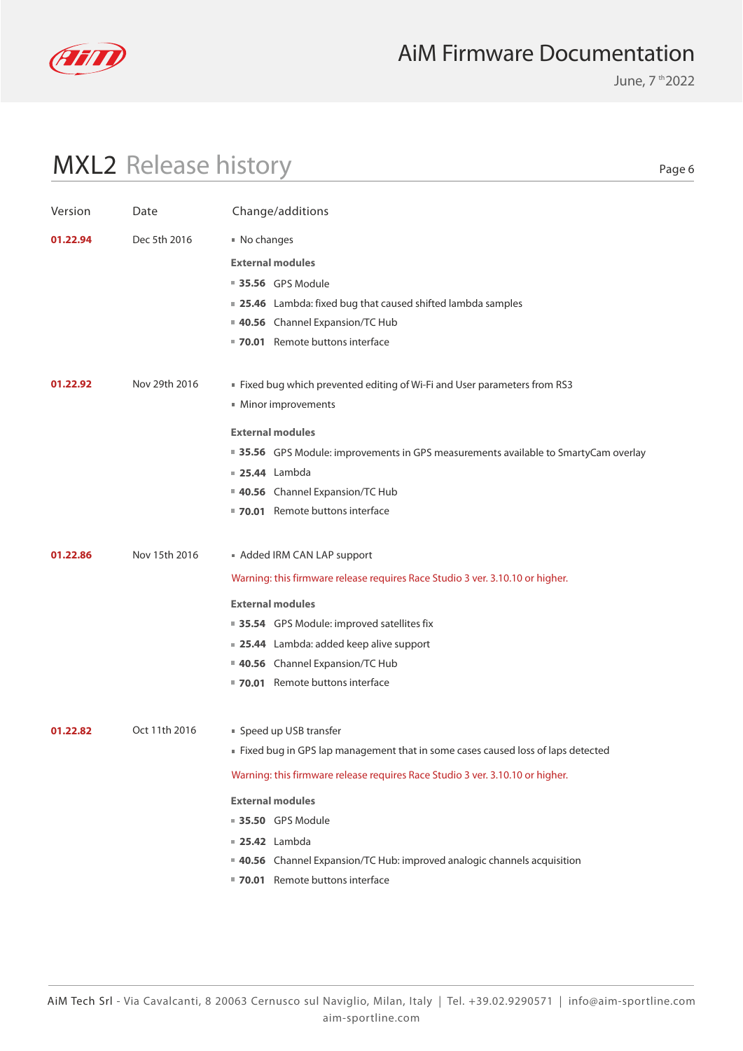

June, 7 th 2022

# MXL2 Release history

| Version  | Date          | Change/additions                                                                    |
|----------|---------------|-------------------------------------------------------------------------------------|
| 01.22.94 | Dec 5th 2016  | ■ No changes                                                                        |
|          |               | <b>External modules</b>                                                             |
|          |               | <b>35.56</b> GPS Module                                                             |
|          |               | ■ 25.46 Lambda: fixed bug that caused shifted lambda samples                        |
|          |               | 40.56 Channel Expansion/TC Hub                                                      |
|          |               | 70.01 Remote buttons interface                                                      |
| 01.22.92 | Nov 29th 2016 | ■ Fixed bug which prevented editing of Wi-Fi and User parameters from RS3           |
|          |               | Minor improvements                                                                  |
|          |               | <b>External modules</b>                                                             |
|          |               | ■ 35.56 GPS Module: improvements in GPS measurements available to SmartyCam overlay |
|          |               | <b>25.44</b> Lambda                                                                 |
|          |               | 40.56 Channel Expansion/TC Hub                                                      |
|          |               | 70.01 Remote buttons interface                                                      |
| 01.22.86 | Nov 15th 2016 | Added IRM CAN LAP support                                                           |
|          |               | Warning: this firmware release requires Race Studio 3 ver. 3.10.10 or higher.       |
|          |               |                                                                                     |
|          |               | <b>External modules</b>                                                             |
|          |               | ■ 35.54 GPS Module: improved satellites fix                                         |
|          |               | ■ 25.44 Lambda: added keep alive support<br>40.56 Channel Expansion/TC Hub          |
|          |               | ■ 70.01 Remote buttons interface                                                    |
|          |               |                                                                                     |
| 01.22.82 | Oct 11th 2016 | ■ Speed up USB transfer                                                             |
|          |               | ■ Fixed bug in GPS lap management that in some cases caused loss of laps detected   |
|          |               | Warning: this firmware release requires Race Studio 3 ver. 3.10.10 or higher.       |
|          |               | <b>External modules</b>                                                             |
|          |               | <b>35.50 GPS Module</b>                                                             |
|          |               | <b>25.42</b> Lambda                                                                 |
|          |               | <b>40.56</b> Channel Expansion/TC Hub: improved analogic channels acquisition       |
|          |               | 70.01 Remote buttons interface                                                      |
|          |               |                                                                                     |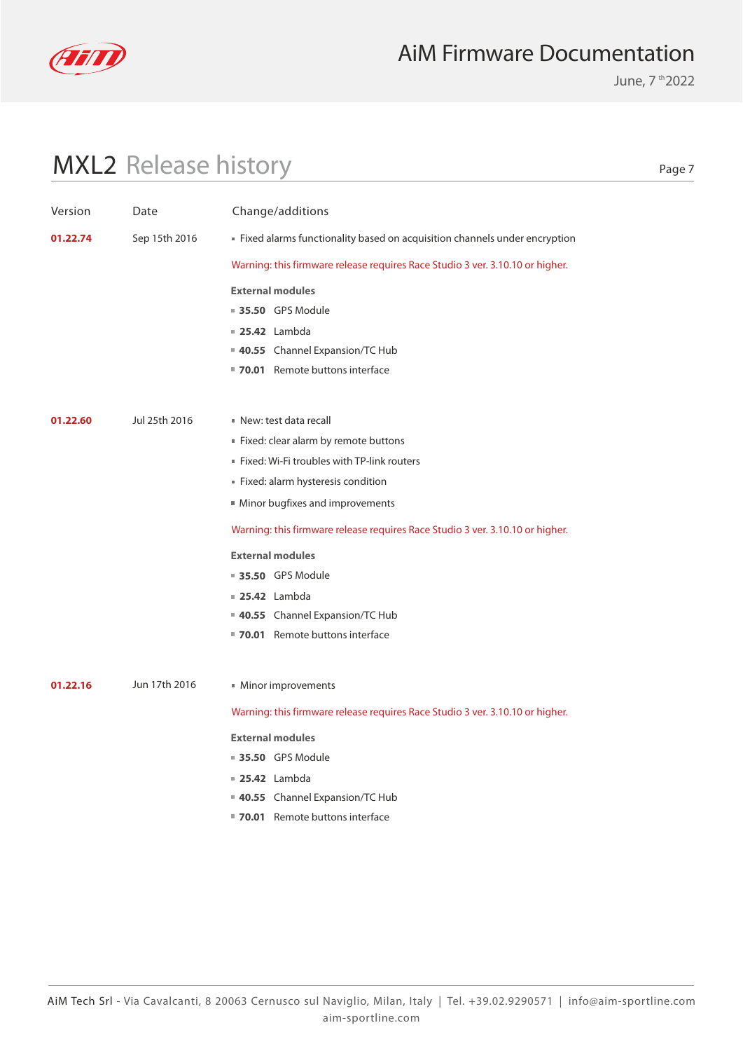

June, 7 th 2022

# MXL2 Release history

| Version  | Date          | Change/additions                                                              |
|----------|---------------|-------------------------------------------------------------------------------|
| 01.22.74 | Sep 15th 2016 | Fixed alarms functionality based on acquisition channels under encryption     |
|          |               | Warning: this firmware release requires Race Studio 3 ver. 3.10.10 or higher. |
|          |               |                                                                               |
|          |               | <b>External modules</b>                                                       |
|          |               | 35.50 GPS Module                                                              |
|          |               | <b>25.42</b> Lambda                                                           |
|          |               | 40.55 Channel Expansion/TC Hub<br>■ 70.01 Remote buttons interface            |
|          |               |                                                                               |
|          |               |                                                                               |
| 01.22.60 | Jul 25th 2016 | New: test data recall                                                         |
|          |               | Fixed: clear alarm by remote buttons                                          |
|          |               | " Fixed: Wi-Fi troubles with TP-link routers                                  |
|          |               | Fixed: alarm hysteresis condition                                             |
|          |               | Minor bugfixes and improvements                                               |
|          |               | Warning: this firmware release requires Race Studio 3 ver. 3.10.10 or higher. |
|          |               | <b>External modules</b>                                                       |
|          |               | <b>35.50 GPS Module</b>                                                       |
|          |               | <b>25.42</b> Lambda                                                           |
|          |               | 40.55 Channel Expansion/TC Hub                                                |
|          |               | ■ 70.01 Remote buttons interface                                              |
|          |               |                                                                               |
| 01.22.16 | Jun 17th 2016 | Minor improvements                                                            |
|          |               | Warning: this firmware release requires Race Studio 3 ver. 3.10.10 or higher. |
|          |               | <b>External modules</b>                                                       |
|          |               | <b>35.50 GPS Module</b>                                                       |
|          |               | $\blacksquare$ 25.42 Lambda                                                   |
|          |               | 40.55 Channel Expansion/TC Hub                                                |
|          |               | ■ 70.01 Remote buttons interface                                              |
|          |               |                                                                               |
|          |               |                                                                               |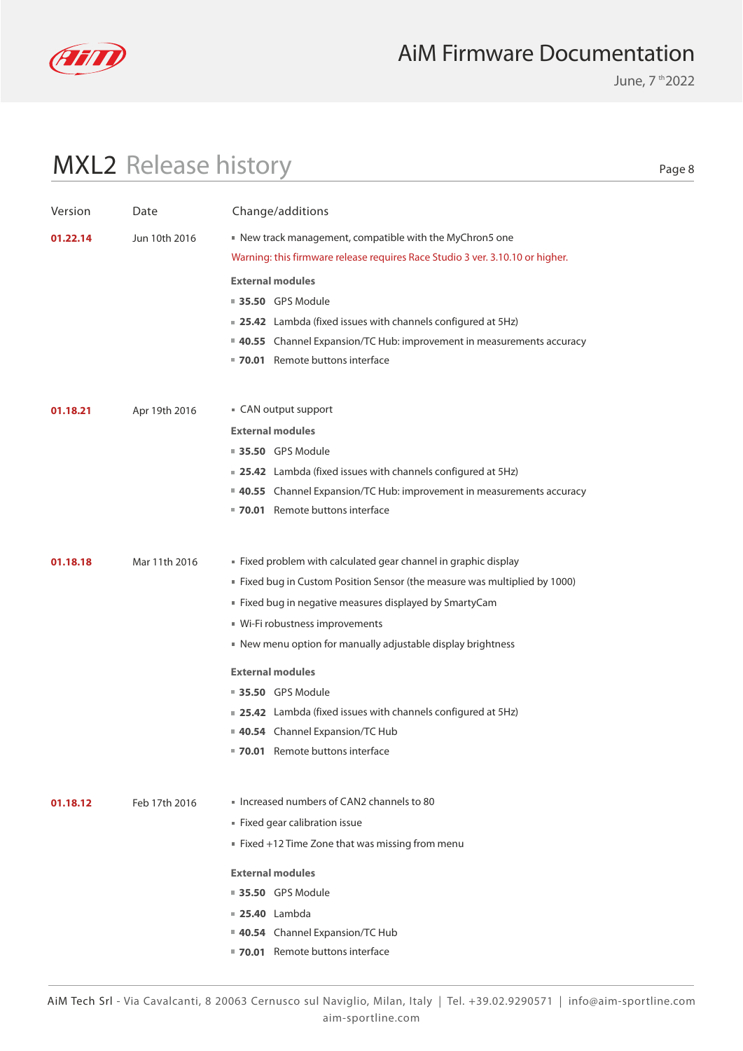

June, 7 th 2022

# MXL2 Release history

| Version  | Date          | Change/additions                                                              |
|----------|---------------|-------------------------------------------------------------------------------|
| 01.22.14 | Jun 10th 2016 | New track management, compatible with the MyChron5 one                        |
|          |               | Warning: this firmware release requires Race Studio 3 ver. 3.10.10 or higher. |
|          |               | <b>External modules</b>                                                       |
|          |               | <b>35.50 GPS Module</b>                                                       |
|          |               | ■ 25.42 Lambda (fixed issues with channels configured at 5Hz)                 |
|          |               | <b>40.55</b> Channel Expansion/TC Hub: improvement in measurements accuracy   |
|          |               | 70.01 Remote buttons interface                                                |
|          |               |                                                                               |
| 01.18.21 | Apr 19th 2016 | ■ CAN output support                                                          |
|          |               | <b>External modules</b>                                                       |
|          |               | <b>35.50 GPS Module</b>                                                       |
|          |               | ■ 25.42 Lambda (fixed issues with channels configured at 5Hz)                 |
|          |               | <b>40.55</b> Channel Expansion/TC Hub: improvement in measurements accuracy   |
|          |               | ■ 70.01 Remote buttons interface                                              |
|          |               |                                                                               |
| 01.18.18 | Mar 11th 2016 | Fixed problem with calculated gear channel in graphic display                 |
|          |               | ■ Fixed bug in Custom Position Sensor (the measure was multiplied by 1000)    |
|          |               | ■ Fixed bug in negative measures displayed by SmartyCam                       |
|          |               | ■ Wi-Fi robustness improvements                                               |
|          |               | New menu option for manually adjustable display brightness                    |
|          |               | <b>External modules</b>                                                       |
|          |               | ■ 35.50 GPS Module                                                            |
|          |               | <b>25.42</b> Lambda (fixed issues with channels configured at 5Hz)            |
|          |               | 40.54 Channel Expansion/TC Hub                                                |
|          |               | 70.01 Remote buttons interface                                                |
|          |               |                                                                               |
| 01.18.12 | Feb 17th 2016 | Increased numbers of CAN2 channels to 80                                      |
|          |               | Fixed gear calibration issue                                                  |
|          |               | Fixed +12 Time Zone that was missing from menu                                |
|          |               | <b>External modules</b>                                                       |
|          |               | ■ 35.50 GPS Module                                                            |
|          |               | <b>25.40</b> Lambda                                                           |
|          |               | 40.54 Channel Expansion/TC Hub                                                |
|          |               | 70.01 Remote buttons interface                                                |
|          |               |                                                                               |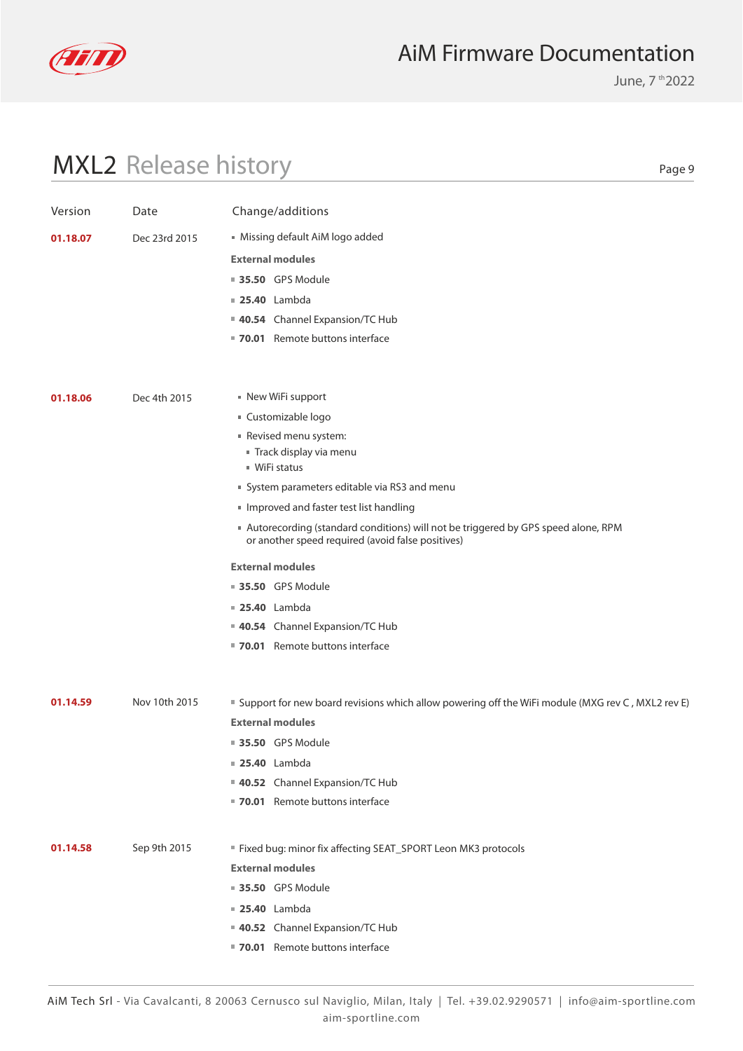

June, 7 th 2022

# MXL2 Release history

| Version  | Date          | Change/additions                                                                                                                       |
|----------|---------------|----------------------------------------------------------------------------------------------------------------------------------------|
| 01.18.07 | Dec 23rd 2015 | Missing default AiM logo added                                                                                                         |
|          |               | <b>External modules</b>                                                                                                                |
|          |               | <b>35.50 GPS Module</b>                                                                                                                |
|          |               | <b>25.40</b> Lambda                                                                                                                    |
|          |               | 40.54 Channel Expansion/TC Hub                                                                                                         |
|          |               | ■ 70.01 Remote buttons interface                                                                                                       |
|          |               |                                                                                                                                        |
| 01.18.06 | Dec 4th 2015  | New WiFi support                                                                                                                       |
|          |               | ■ Customizable logo                                                                                                                    |
|          |               | Revised menu system:                                                                                                                   |
|          |               | Track display via menu                                                                                                                 |
|          |               | $W$ iFi status                                                                                                                         |
|          |               | System parameters editable via RS3 and menu                                                                                            |
|          |               | Improved and faster test list handling                                                                                                 |
|          |               | Autorecording (standard conditions) will not be triggered by GPS speed alone, RPM<br>or another speed required (avoid false positives) |
|          |               | <b>External modules</b>                                                                                                                |
|          |               | ■ 35.50 GPS Module                                                                                                                     |
|          |               | <b>25.40</b> Lambda                                                                                                                    |
|          |               | 40.54 Channel Expansion/TC Hub                                                                                                         |
|          |               | ■ 70.01 Remote buttons interface                                                                                                       |
|          |               |                                                                                                                                        |
| 01.14.59 | Nov 10th 2015 | " Support for new board revisions which allow powering off the WiFi module (MXG rev C, MXL2 rev E)                                     |
|          |               | <b>External modules</b>                                                                                                                |
|          |               | <b>35.50</b> GPS Module                                                                                                                |
|          |               | <b>25.40</b> Lambda                                                                                                                    |
|          |               | 40.52 Channel Expansion/TC Hub                                                                                                         |
|          |               | 70.01 Remote buttons interface                                                                                                         |
|          |               |                                                                                                                                        |
| 01.14.58 | Sep 9th 2015  | " Fixed bug: minor fix affecting SEAT_SPORT Leon MK3 protocols                                                                         |
|          |               | <b>External modules</b>                                                                                                                |
|          |               | <b>35.50 GPS Module</b>                                                                                                                |
|          |               | <b>25.40</b> Lambda                                                                                                                    |
|          |               | 40.52 Channel Expansion/TC Hub                                                                                                         |
|          |               | 70.01 Remote buttons interface                                                                                                         |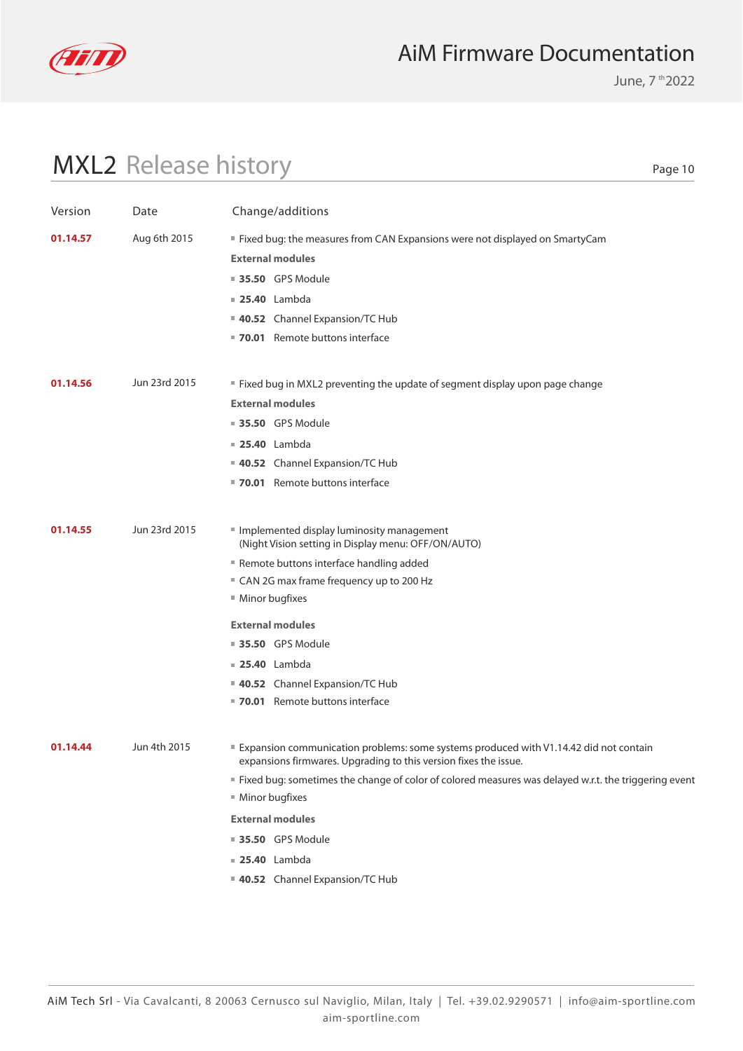

June, 7 th 2022

# MXL2 Release history

| Version  | Date          | Change/additions                                                                                                                                          |
|----------|---------------|-----------------------------------------------------------------------------------------------------------------------------------------------------------|
| 01.14.57 | Aug 6th 2015  | ■ Fixed bug: the measures from CAN Expansions were not displayed on SmartyCam                                                                             |
|          |               | <b>External modules</b>                                                                                                                                   |
|          |               | ■ 35.50 GPS Module                                                                                                                                        |
|          |               | <b>25.40</b> Lambda                                                                                                                                       |
|          |               | 40.52 Channel Expansion/TC Hub                                                                                                                            |
|          |               | ■ 70.01 Remote buttons interface                                                                                                                          |
|          |               |                                                                                                                                                           |
| 01.14.56 | Jun 23rd 2015 | " Fixed bug in MXL2 preventing the update of segment display upon page change                                                                             |
|          |               | <b>External modules</b>                                                                                                                                   |
|          |               | <b>35.50</b> GPS Module                                                                                                                                   |
|          |               | $\blacksquare$ 25.40 Lambda                                                                                                                               |
|          |               | 40.52 Channel Expansion/TC Hub                                                                                                                            |
|          |               | 70.01 Remote buttons interface                                                                                                                            |
|          |               |                                                                                                                                                           |
| 01.14.55 | Jun 23rd 2015 | Implemented display luminosity management<br>(Night Vision setting in Display menu: OFF/ON/AUTO)                                                          |
|          |               | Remote buttons interface handling added                                                                                                                   |
|          |               | " CAN 2G max frame frequency up to 200 Hz                                                                                                                 |
|          |               | ■ Minor bugfixes                                                                                                                                          |
|          |               | <b>External modules</b>                                                                                                                                   |
|          |               | ■ 35.50 GPS Module                                                                                                                                        |
|          |               | <b>25.40</b> Lambda                                                                                                                                       |
|          |               | 40.52 Channel Expansion/TC Hub                                                                                                                            |
|          |               | 70.01 Remote buttons interface                                                                                                                            |
| 01.14.44 | Jun 4th 2015  |                                                                                                                                                           |
|          |               | Expansion communication problems: some systems produced with V1.14.42 did not contain<br>expansions firmwares. Upgrading to this version fixes the issue. |
|          |               | " Fixed bug: sometimes the change of color of colored measures was delayed w.r.t. the triggering event                                                    |
|          |               | ■ Minor bugfixes                                                                                                                                          |
|          |               | <b>External modules</b>                                                                                                                                   |
|          |               | 35.50 GPS Module                                                                                                                                          |
|          |               | <b>25.40</b> Lambda                                                                                                                                       |
|          |               | 40.52 Channel Expansion/TC Hub                                                                                                                            |
|          |               |                                                                                                                                                           |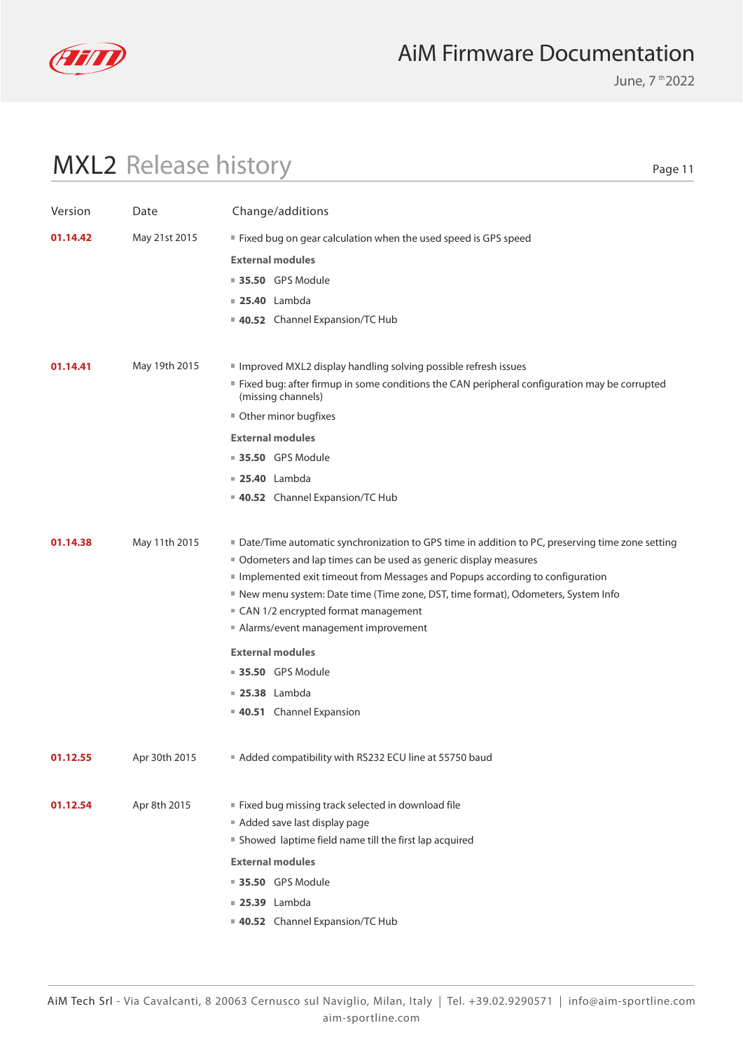

June, 7 th 2022

# MXL2 Release history

| Version  | Date          | Change/additions                                                                                                     |
|----------|---------------|----------------------------------------------------------------------------------------------------------------------|
| 01.14.42 | May 21st 2015 | " Fixed bug on gear calculation when the used speed is GPS speed                                                     |
|          |               | <b>External modules</b>                                                                                              |
|          |               | ■ 35.50 GPS Module                                                                                                   |
|          |               |                                                                                                                      |
|          |               | <b>25.40</b> Lambda<br>40.52 Channel Expansion/TC Hub                                                                |
|          |               |                                                                                                                      |
| 01.14.41 | May 19th 2015 | Improved MXL2 display handling solving possible refresh issues                                                       |
|          |               | " Fixed bug: after firmup in some conditions the CAN peripheral configuration may be corrupted<br>(missing channels) |
|          |               | Other minor bugfixes                                                                                                 |
|          |               | <b>External modules</b>                                                                                              |
|          |               | <b>35.50</b> GPS Module                                                                                              |
|          |               | <b>25.40</b> Lambda                                                                                                  |
|          |               | 40.52 Channel Expansion/TC Hub                                                                                       |
|          |               |                                                                                                                      |
| 01.14.38 | May 11th 2015 | ■ Date/Time automatic synchronization to GPS time in addition to PC, preserving time zone setting                    |
|          |               | Odometers and lap times can be used as generic display measures                                                      |
|          |               | Implemented exit timeout from Messages and Popups according to configuration                                         |
|          |               | New menu system: Date time (Time zone, DST, time format), Odometers, System Info                                     |
|          |               | ■ CAN 1/2 encrypted format management                                                                                |
|          |               | Alarms/event management improvement                                                                                  |
|          |               | <b>External modules</b>                                                                                              |
|          |               | <b>35.50</b> GPS Module                                                                                              |
|          |               | <b>25.38</b> Lambda                                                                                                  |
|          |               | 40.51 Channel Expansion                                                                                              |
| 01.12.55 | Apr 30th 2015 | Added compatibility with RS232 ECU line at 55750 baud                                                                |
|          |               |                                                                                                                      |
| 01.12.54 | Apr 8th 2015  | ■ Fixed bug missing track selected in download file                                                                  |
|          |               | Added save last display page                                                                                         |
|          |               | Showed laptime field name till the first lap acquired                                                                |
|          |               | <b>External modules</b>                                                                                              |
|          |               | <b>35.50</b> GPS Module                                                                                              |
|          |               | <b>25.39</b> Lambda                                                                                                  |
|          |               | 40.52 Channel Expansion/TC Hub                                                                                       |